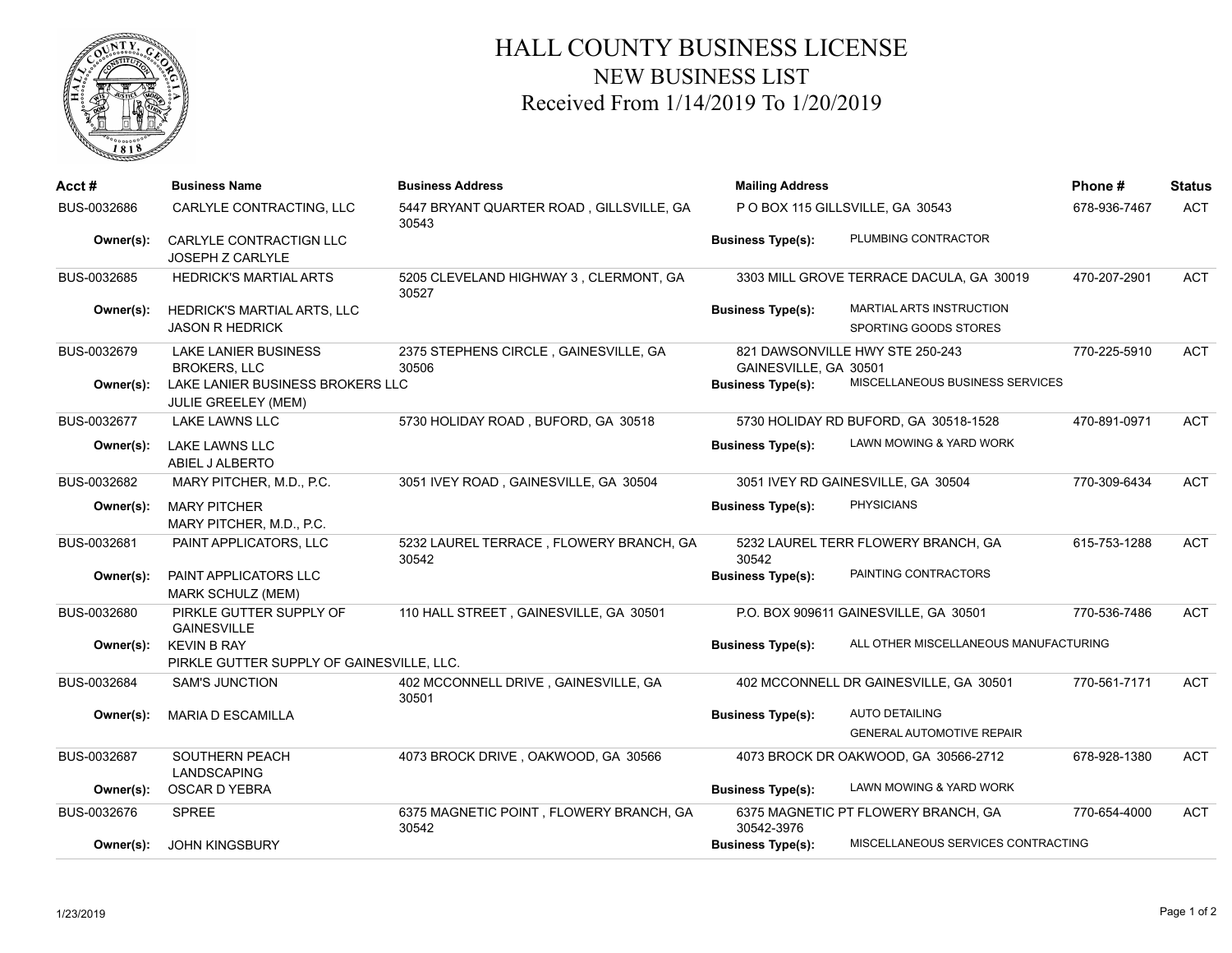

## HALL COUNTY BUSINESS LICENSE NEW BUSINESS LIST Received From 1/14/2019 To 1/20/2019

| Acct #      | <b>Business Name</b>                                            | <b>Business Address</b>                           | <b>Mailing Address</b>         |                                                                    | Phone#       | <b>Status</b> |
|-------------|-----------------------------------------------------------------|---------------------------------------------------|--------------------------------|--------------------------------------------------------------------|--------------|---------------|
| BUS-0032686 | CARLYLE CONTRACTING, LLC                                        | 5447 BRYANT QUARTER ROAD, GILLSVILLE, GA<br>30543 | POBOX 115 GILLSVILLE, GA 30543 |                                                                    | 678-936-7467 | <b>ACT</b>    |
| Owner(s):   | CARLYLE CONTRACTIGN LLC<br>JOSEPH Z CARLYLE                     |                                                   | <b>Business Type(s):</b>       | PLUMBING CONTRACTOR                                                |              |               |
| BUS-0032685 | <b>HEDRICK'S MARTIAL ARTS</b>                                   | 5205 CLEVELAND HIGHWAY 3, CLERMONT, GA<br>30527   |                                | 3303 MILL GROVE TERRACE DACULA, GA 30019                           | 470-207-2901 | <b>ACT</b>    |
| Owner(s):   | HEDRICK'S MARTIAL ARTS, LLC<br><b>JASON R HEDRICK</b>           |                                                   | <b>Business Type(s):</b>       | MARTIAL ARTS INSTRUCTION<br>SPORTING GOODS STORES                  |              |               |
| BUS-0032679 | <b>LAKE LANIER BUSINESS</b><br><b>BROKERS, LLC</b>              | 2375 STEPHENS CIRCLE, GAINESVILLE, GA<br>30506    | GAINESVILLE, GA 30501          | 821 DAWSONVILLE HWY STE 250-243<br>MISCELLANEOUS BUSINESS SERVICES | 770-225-5910 | <b>ACT</b>    |
| Owner(s):   | LAKE LANIER BUSINESS BROKERS LLC<br><b>JULIE GREELEY (MEM)</b>  |                                                   | <b>Business Type(s):</b>       |                                                                    |              |               |
| BUS-0032677 | <b>LAKE LAWNS LLC</b>                                           | 5730 HOLIDAY ROAD, BUFORD, GA 30518               |                                | 5730 HOLIDAY RD BUFORD, GA 30518-1528                              | 470-891-0971 | <b>ACT</b>    |
| Owner(s):   | LAKE LAWNS LLC<br>ABIEL J ALBERTO                               |                                                   | <b>Business Type(s):</b>       | LAWN MOWING & YARD WORK                                            |              |               |
| BUS-0032682 | MARY PITCHER, M.D., P.C.                                        | 3051 IVEY ROAD, GAINESVILLE, GA 30504             |                                | 3051 IVEY RD GAINESVILLE, GA 30504                                 | 770-309-6434 | <b>ACT</b>    |
| Owner(s):   | <b>MARY PITCHER</b><br>MARY PITCHER, M.D., P.C.                 |                                                   | <b>Business Type(s):</b>       | <b>PHYSICIANS</b>                                                  |              |               |
| BUS-0032681 | PAINT APPLICATORS, LLC                                          | 5232 LAUREL TERRACE, FLOWERY BRANCH, GA<br>30542  | 30542                          | 5232 LAUREL TERR FLOWERY BRANCH, GA                                | 615-753-1288 | <b>ACT</b>    |
| Owner(s):   | PAINT APPLICATORS LLC<br>MARK SCHULZ (MEM)                      |                                                   | <b>Business Type(s):</b>       | PAINTING CONTRACTORS                                               |              |               |
| BUS-0032680 | PIRKLE GUTTER SUPPLY OF<br><b>GAINESVILLE</b>                   | 110 HALL STREET, GAINESVILLE, GA 30501            |                                | P.O. BOX 909611 GAINESVILLE, GA 30501                              | 770-536-7486 | <b>ACT</b>    |
| Owner(s):   | <b>KEVIN B RAY</b><br>PIRKLE GUTTER SUPPLY OF GAINESVILLE, LLC. |                                                   | <b>Business Type(s):</b>       | ALL OTHER MISCELLANEOUS MANUFACTURING                              |              |               |
| BUS-0032684 | SAM'S JUNCTION                                                  | 402 MCCONNELL DRIVE, GAINESVILLE, GA<br>30501     |                                | 402 MCCONNELL DR GAINESVILLE, GA 30501                             | 770-561-7171 | <b>ACT</b>    |
| Owner(s):   | <b>MARIA D ESCAMILLA</b>                                        |                                                   | <b>Business Type(s):</b>       | <b>AUTO DETAILING</b><br><b>GENERAL AUTOMOTIVE REPAIR</b>          |              |               |
| BUS-0032687 | <b>SOUTHERN PEACH</b><br>LANDSCAPING                            | 4073 BROCK DRIVE, OAKWOOD, GA 30566               |                                | 4073 BROCK DR OAKWOOD, GA 30566-2712                               | 678-928-1380 | <b>ACT</b>    |
| Owner(s):   | OSCAR D YEBRA                                                   |                                                   | <b>Business Type(s):</b>       | LAWN MOWING & YARD WORK                                            |              |               |
| BUS-0032676 | <b>SPREE</b>                                                    | 6375 MAGNETIC POINT, FLOWERY BRANCH, GA<br>30542  | 30542-3976                     | 6375 MAGNETIC PT FLOWERY BRANCH, GA                                | 770-654-4000 | <b>ACT</b>    |
| Owner(s):   | <b>JOHN KINGSBURY</b>                                           |                                                   | <b>Business Type(s):</b>       | MISCELLANEOUS SERVICES CONTRACTING                                 |              |               |